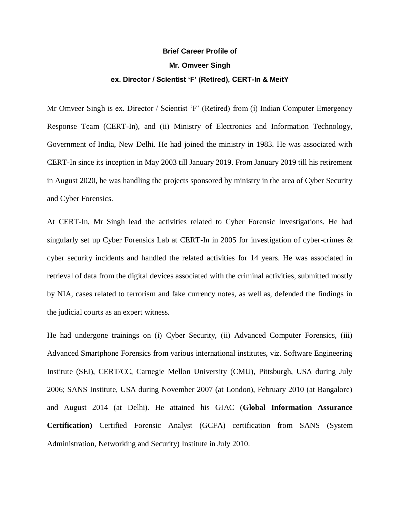## **Brief Career Profile of Mr. Omveer Singh ex. Director / Scientist 'F' (Retired), CERT-In & MeitY**

Mr Omveer Singh is ex. Director / Scientist 'F' (Retired) from (i) Indian Computer Emergency Response Team (CERT-In), and (ii) Ministry of Electronics and Information Technology, Government of India, New Delhi. He had joined the ministry in 1983. He was associated with CERT-In since its inception in May 2003 till January 2019. From January 2019 till his retirement in August 2020, he was handling the projects sponsored by ministry in the area of Cyber Security and Cyber Forensics.

At CERT-In, Mr Singh lead the activities related to Cyber Forensic Investigations. He had singularly set up Cyber Forensics Lab at CERT-In in 2005 for investigation of cyber-crimes & cyber security incidents and handled the related activities for 14 years. He was associated in retrieval of data from the digital devices associated with the criminal activities, submitted mostly by NIA, cases related to terrorism and fake currency notes, as well as, defended the findings in the judicial courts as an expert witness.

He had undergone trainings on (i) Cyber Security, (ii) Advanced Computer Forensics, (iii) Advanced Smartphone Forensics from various international institutes, viz. Software Engineering Institute (SEI), CERT/CC, Carnegie Mellon University (CMU), Pittsburgh, USA during July 2006; SANS Institute, USA during November 2007 (at London), February 2010 (at Bangalore) and August 2014 (at Delhi). He attained his GIAC (**Global Information Assurance Certification)** Certified Forensic Analyst (GCFA) certification from SANS (System Administration, Networking and Security) Institute in July 2010.